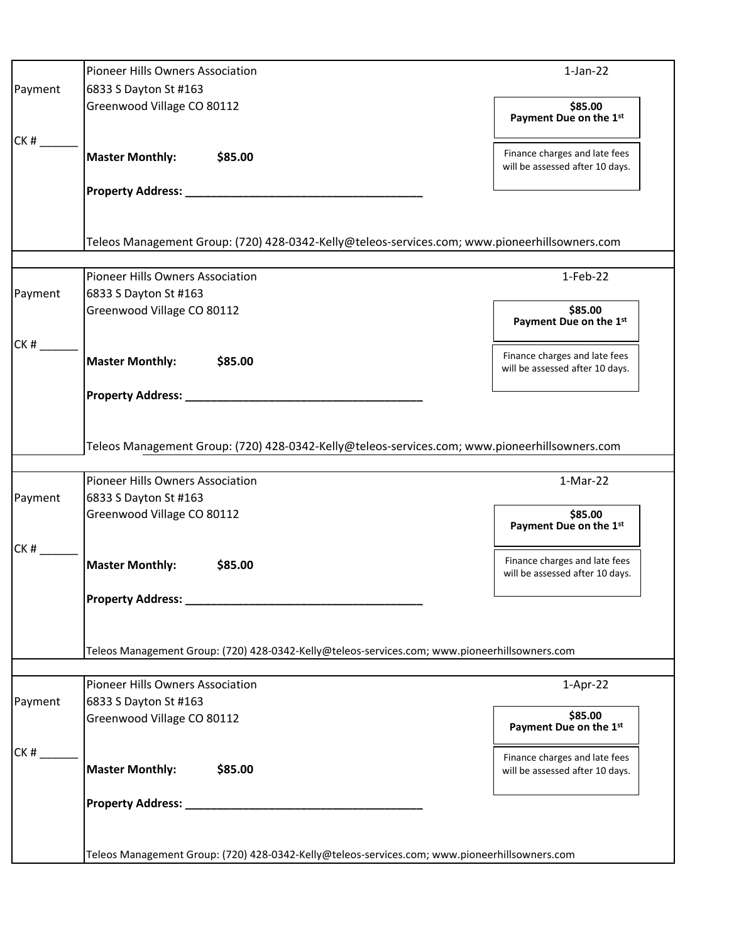|         | Pioneer Hills Owners Association                                                              | $1-Jan-22$                                                       |
|---------|-----------------------------------------------------------------------------------------------|------------------------------------------------------------------|
| Payment | 6833 S Dayton St #163                                                                         |                                                                  |
|         | Greenwood Village CO 80112                                                                    | \$85.00<br>Payment Due on the 1st                                |
| CK#     | <b>Master Monthly:</b><br>\$85.00                                                             | Finance charges and late fees<br>will be assessed after 10 days. |
|         |                                                                                               |                                                                  |
|         | Teleos Management Group: (720) 428-0342-Kelly@teleos-services.com; www.pioneerhillsowners.com |                                                                  |
|         | Pioneer Hills Owners Association                                                              | $1-Feb-22$                                                       |
| Payment | 6833 S Dayton St #163                                                                         |                                                                  |
|         | Greenwood Village CO 80112                                                                    | \$85.00<br>Payment Due on the 1st                                |
| CK#     | <b>Master Monthly:</b><br>\$85.00                                                             | Finance charges and late fees<br>will be assessed after 10 days. |
|         |                                                                                               |                                                                  |
|         | Teleos Management Group: (720) 428-0342-Kelly@teleos-services.com; www.pioneerhillsowners.com |                                                                  |
|         | Pioneer Hills Owners Association                                                              | $1-Mar-22$                                                       |
| Payment | 6833 S Dayton St #163                                                                         |                                                                  |
|         | Greenwood Village CO 80112                                                                    | \$85.00<br>Payment Due on the 1st                                |
| CK#     | <b>Master Monthly:</b><br>\$85.00                                                             | Finance charges and late fees<br>will be assessed after 10 days. |
|         | <b>Property Address:</b>                                                                      |                                                                  |
|         | Teleos Management Group: (720) 428-0342-Kelly@teleos-services.com; www.pioneerhillsowners.com |                                                                  |
|         | Pioneer Hills Owners Association                                                              | $1-Apr-22$                                                       |
| Payment | 6833 S Dayton St #163                                                                         |                                                                  |
|         | Greenwood Village CO 80112                                                                    | \$85.00<br>Payment Due on the 1st                                |
| CK#     | <b>Master Monthly:</b><br>\$85.00                                                             | Finance charges and late fees<br>will be assessed after 10 days. |
|         | Property Address: ____________                                                                |                                                                  |
|         |                                                                                               |                                                                  |
|         | Teleos Management Group: (720) 428-0342-Kelly@teleos-services.com; www.pioneerhillsowners.com |                                                                  |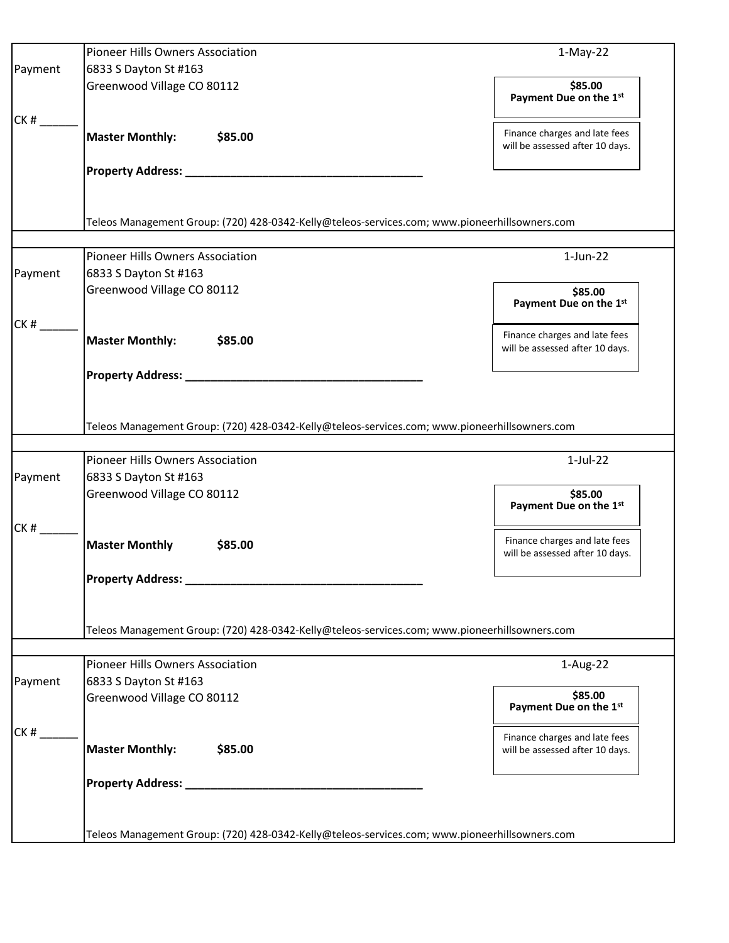| Pioneer Hills Owners Association                                                              | $1-May-22$                                                                                                                                                                                                                                                                                                                     |
|-----------------------------------------------------------------------------------------------|--------------------------------------------------------------------------------------------------------------------------------------------------------------------------------------------------------------------------------------------------------------------------------------------------------------------------------|
| 6833 S Dayton St #163                                                                         |                                                                                                                                                                                                                                                                                                                                |
| Greenwood Village CO 80112                                                                    | \$85.00<br>Payment Due on the 1st                                                                                                                                                                                                                                                                                              |
| <b>Master Monthly:</b><br>\$85.00                                                             | Finance charges and late fees<br>will be assessed after 10 days.                                                                                                                                                                                                                                                               |
|                                                                                               |                                                                                                                                                                                                                                                                                                                                |
|                                                                                               |                                                                                                                                                                                                                                                                                                                                |
|                                                                                               |                                                                                                                                                                                                                                                                                                                                |
|                                                                                               |                                                                                                                                                                                                                                                                                                                                |
| <b>Pioneer Hills Owners Association</b>                                                       | $1$ -Jun-22                                                                                                                                                                                                                                                                                                                    |
| 6833 S Dayton St #163                                                                         |                                                                                                                                                                                                                                                                                                                                |
|                                                                                               | \$85.00<br>Payment Due on the 1st                                                                                                                                                                                                                                                                                              |
|                                                                                               | Finance charges and late fees                                                                                                                                                                                                                                                                                                  |
|                                                                                               | will be assessed after 10 days.                                                                                                                                                                                                                                                                                                |
|                                                                                               |                                                                                                                                                                                                                                                                                                                                |
|                                                                                               |                                                                                                                                                                                                                                                                                                                                |
| Teleos Management Group: (720) 428-0342-Kelly@teleos-services.com; www.pioneerhillsowners.com |                                                                                                                                                                                                                                                                                                                                |
| Pioneer Hills Owners Association                                                              | $1-Jul-22$                                                                                                                                                                                                                                                                                                                     |
| 6833 S Dayton St #163                                                                         |                                                                                                                                                                                                                                                                                                                                |
| Greenwood Village CO 80112                                                                    | \$85.00<br>Payment Due on the 1st                                                                                                                                                                                                                                                                                              |
|                                                                                               | Finance charges and late fees                                                                                                                                                                                                                                                                                                  |
|                                                                                               | will be assessed after 10 days.                                                                                                                                                                                                                                                                                                |
|                                                                                               |                                                                                                                                                                                                                                                                                                                                |
|                                                                                               |                                                                                                                                                                                                                                                                                                                                |
|                                                                                               |                                                                                                                                                                                                                                                                                                                                |
| Teleos Management Group: (720) 428-0342-Kelly@teleos-services.com; www.pioneerhillsowners.com |                                                                                                                                                                                                                                                                                                                                |
|                                                                                               | 1-Aug-22                                                                                                                                                                                                                                                                                                                       |
|                                                                                               |                                                                                                                                                                                                                                                                                                                                |
| Greenwood Village CO 80112                                                                    | \$85.00                                                                                                                                                                                                                                                                                                                        |
|                                                                                               | Payment Due on the 1st                                                                                                                                                                                                                                                                                                         |
|                                                                                               | Finance charges and late fees                                                                                                                                                                                                                                                                                                  |
| \$85.00                                                                                       | will be assessed after 10 days.                                                                                                                                                                                                                                                                                                |
|                                                                                               |                                                                                                                                                                                                                                                                                                                                |
|                                                                                               |                                                                                                                                                                                                                                                                                                                                |
|                                                                                               |                                                                                                                                                                                                                                                                                                                                |
|                                                                                               |                                                                                                                                                                                                                                                                                                                                |
|                                                                                               | Teleos Management Group: (720) 428-0342-Kelly@teleos-services.com; www.pioneerhillsowners.com<br>Greenwood Village CO 80112<br><b>Master Monthly:</b><br>\$85.00<br><b>Master Monthly</b><br>\$85.00<br><b>Property Address:</b><br><b>Pioneer Hills Owners Association</b><br>6833 S Dayton St #163<br><b>Master Monthly:</b> |